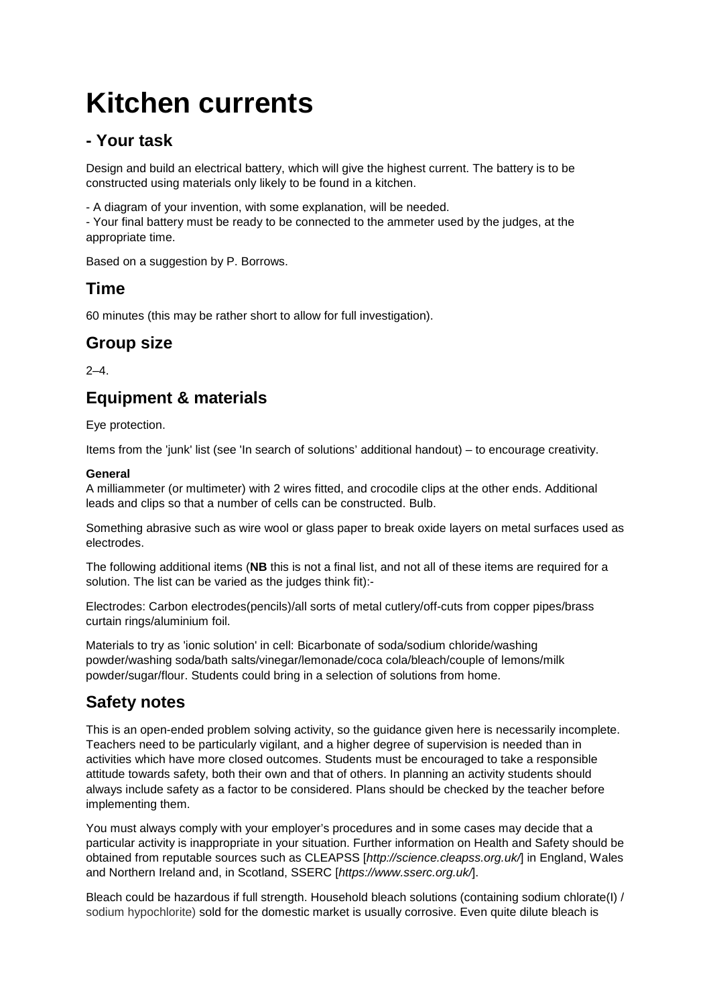# **Kitchen currents**

### **- Your task**

Design and build an electrical battery, which will give the highest current. The battery is to be constructed using materials only likely to be found in a kitchen.

- A diagram of your invention, with some explanation, will be needed.

- Your final battery must be ready to be connected to the ammeter used by the judges, at the appropriate time.

Based on a suggestion by P. Borrows.

#### **Time**

60 minutes (this may be rather short to allow for full investigation).

# **Group size**

 $2 - 4$ 

# **Equipment & materials**

Eye protection.

Items from the 'junk' list (see 'In search of solutions' additional handout) – to encourage creativity.

#### **General**

A milliammeter (or multimeter) with 2 wires fitted, and crocodile clips at the other ends. Additional leads and clips so that a number of cells can be constructed. Bulb.

Something abrasive such as wire wool or glass paper to break oxide layers on metal surfaces used as electrodes.

The following additional items (**NB** this is not a final list, and not all of these items are required for a solution. The list can be varied as the judges think fit):-

Electrodes: Carbon electrodes(pencils)/all sorts of metal cutlery/off-cuts from copper pipes/brass curtain rings/aluminium foil.

Materials to try as 'ionic solution' in cell: Bicarbonate of soda/sodium chloride/washing powder/washing soda/bath salts/vinegar/lemonade/coca cola/bleach/couple of lemons/milk powder/sugar/flour. Students could bring in a selection of solutions from home.

### **Safety notes**

This is an open-ended problem solving activity, so the guidance given here is necessarily incomplete. Teachers need to be particularly vigilant, and a higher degree of supervision is needed than in activities which have more closed outcomes. Students must be encouraged to take a responsible attitude towards safety, both their own and that of others. In planning an activity students should always include safety as a factor to be considered. Plans should be checked by the teacher before implementing them.

You must always comply with your employer's procedures and in some cases may decide that a particular activity is inappropriate in your situation. Further information on Health and Safety should be obtained from reputable sources such as CLEAPSS [*http://science.cleapss.org.uk/*] in England, Wales and Northern Ireland and, in Scotland, SSERC [*https://www.sserc.org.uk/*].

Bleach could be hazardous if full strength. Household bleach solutions (containing sodium chlorate(I) / sodium hypochlorite) sold for the domestic market is usually corrosive. Even quite dilute bleach is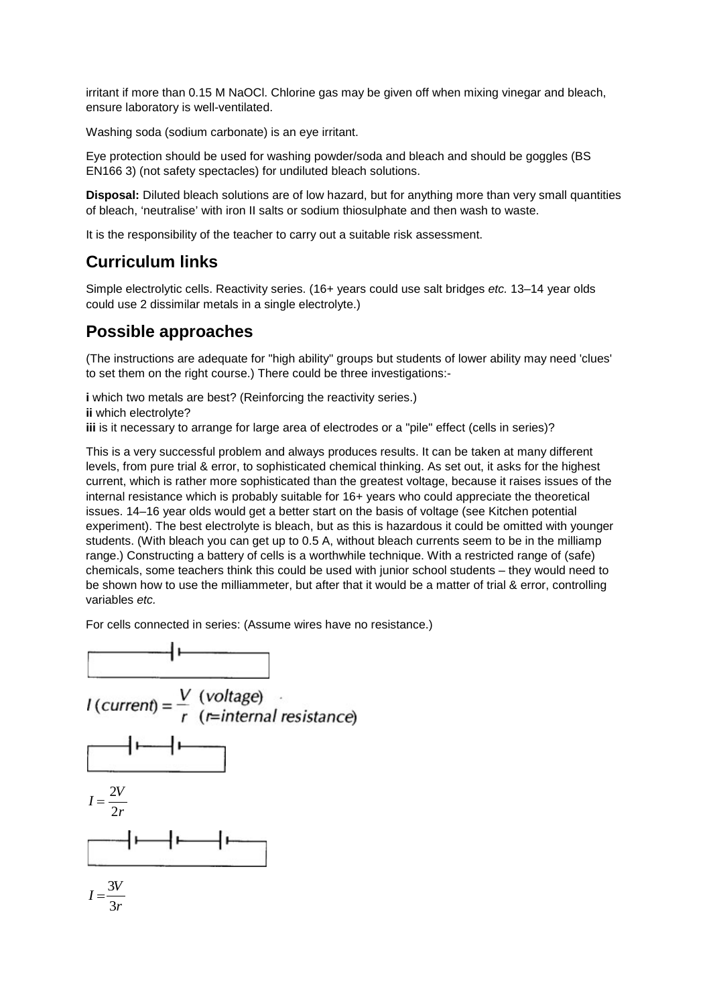irritant if more than 0.15 M NaOCl. Chlorine gas may be given off when mixing vinegar and bleach, ensure laboratory is well-ventilated.

Washing soda (sodium carbonate) is an eye irritant.

Eye protection should be used for washing powder/soda and bleach and should be goggles (BS EN166 3) (not safety spectacles) for undiluted bleach solutions.

**Disposal:** Diluted bleach solutions are of low hazard, but for anything more than very small quantities of bleach, 'neutralise' with iron II salts or sodium thiosulphate and then wash to waste.

It is the responsibility of the teacher to carry out a suitable risk assessment.

# **Curriculum links**

Simple electrolytic cells. Reactivity series. (16+ years could use salt bridges *etc.* 13–14 year olds could use 2 dissimilar metals in a single electrolyte.)

### **Possible approaches**

(The instructions are adequate for "high ability" groups but students of lower ability may need 'clues' to set them on the right course.) There could be three investigations:-

**i** which two metals are best? (Reinforcing the reactivity series.) **ii** which electrolyte? **iii** is it necessary to arrange for large area of electrodes or a "pile" effect (cells in series)?

This is a very successful problem and always produces results. It can be taken at many different levels, from pure trial & error, to sophisticated chemical thinking. As set out, it asks for the highest current, which is rather more sophisticated than the greatest voltage, because it raises issues of the internal resistance which is probably suitable for 16+ years who could appreciate the theoretical issues. 14–16 year olds would get a better start on the basis of voltage (see Kitchen potential experiment). The best electrolyte is bleach, but as this is hazardous it could be omitted with younger students. (With bleach you can get up to 0.5 A, without bleach currents seem to be in the milliamp range.) Constructing a battery of cells is a worthwhile technique. With a restricted range of (safe) chemicals, some teachers think this could be used with junior school students – they would need to be shown how to use the milliammeter, but after that it would be a matter of trial & error, controlling variables *etc.*

For cells connected in series: (Assume wires have no resistance.)